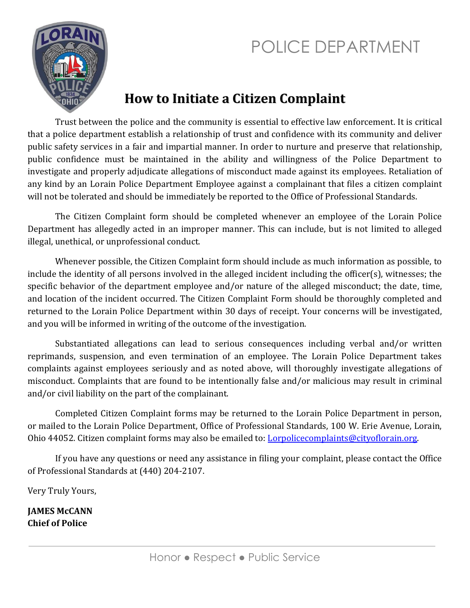# POLICE DEPARTMENT



#### **How to Initiate a Citizen Complaint**

Trust between the police and the community is essential to effective law enforcement. It is critical that a police department establish a relationship of trust and confidence with its community and deliver public safety services in a fair and impartial manner. In order to nurture and preserve that relationship, public confidence must be maintained in the ability and willingness of the Police Department to investigate and properly adjudicate allegations of misconduct made against its employees. Retaliation of any kind by an Lorain Police Department Employee against a complainant that files a citizen complaint will not be tolerated and should be immediately be reported to the Office of Professional Standards.

The Citizen Complaint form should be completed whenever an employee of the Lorain Police Department has allegedly acted in an improper manner. This can include, but is not limited to alleged illegal, unethical, or unprofessional conduct.

Whenever possible, the Citizen Complaint form should include as much information as possible, to include the identity of all persons involved in the alleged incident including the officer(s), witnesses; the specific behavior of the department employee and/or nature of the alleged misconduct; the date, time, and location of the incident occurred. The Citizen Complaint Form should be thoroughly completed and returned to the Lorain Police Department within 30 days of receipt. Your concerns will be investigated, and you will be informed in writing of the outcome of the investigation.

Substantiated allegations can lead to serious consequences including verbal and/or written reprimands, suspension, and even termination of an employee. The Lorain Police Department takes complaints against employees seriously and as noted above, will thoroughly investigate allegations of misconduct. Complaints that are found to be intentionally false and/or malicious may result in criminal and/or civil liability on the part of the complainant.

Completed Citizen Complaint forms may be returned to the Lorain Police Department in person, or mailed to the Lorain Police Department, Office of Professional Standards, 100 W. Erie Avenue, Lorain, Ohio 44052. Citizen complaint forms may also be emailed to: *Lorpolicecomplaints@cityoflorain.org*.

If you have any questions or need any assistance in filing your complaint, please contact the Office of Professional Standards at (440) 204-2107.

Very Truly Yours,

**JAMES McCANN Chief of Police**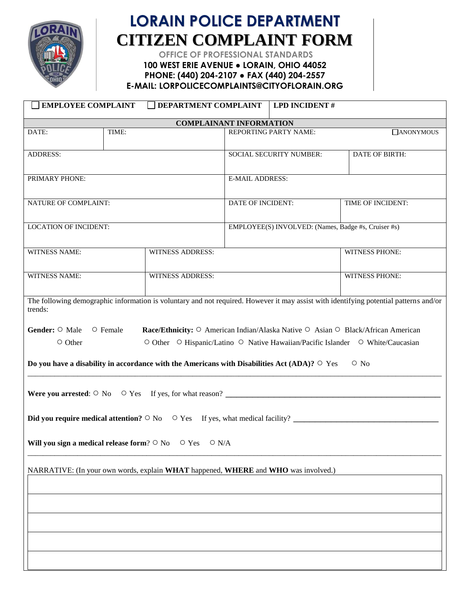

### **LORAIN POLICE DEPARTMENT CITIZEN COMPLAINT FORM**

**OFFICE OF PROFESSIONAL STANDARDS**

**100 WEST ERIE AVENUE ● LORAIN, OHIO 44052 PHONE: (440) 204-2107 ● FAX (440) 204-2557**

**E-MAIL: LORPOLICECOMPLAINTS@CITYOFLORAIN.ORG**

| <b>EMPLOYEE COMPLAINT</b>                                                                                                                                                                                                                                                                                                                                                                                                                                                                                                                                                                                                                                                                                                              |       | DEPARTMENT COMPLAINT    |                                                     | <b>LPD INCIDENT#</b> |                       |  |
|----------------------------------------------------------------------------------------------------------------------------------------------------------------------------------------------------------------------------------------------------------------------------------------------------------------------------------------------------------------------------------------------------------------------------------------------------------------------------------------------------------------------------------------------------------------------------------------------------------------------------------------------------------------------------------------------------------------------------------------|-------|-------------------------|-----------------------------------------------------|----------------------|-----------------------|--|
| <b>COMPLAINANT INFORMATION</b>                                                                                                                                                                                                                                                                                                                                                                                                                                                                                                                                                                                                                                                                                                         |       |                         |                                                     |                      |                       |  |
| DATE:                                                                                                                                                                                                                                                                                                                                                                                                                                                                                                                                                                                                                                                                                                                                  | TIME: |                         | REPORTING PARTY NAME:<br>$\Box$ ANONYMOUS           |                      |                       |  |
| <b>ADDRESS:</b>                                                                                                                                                                                                                                                                                                                                                                                                                                                                                                                                                                                                                                                                                                                        |       |                         | SOCIAL SECURITY NUMBER:                             |                      | <b>DATE OF BIRTH:</b> |  |
| PRIMARY PHONE:                                                                                                                                                                                                                                                                                                                                                                                                                                                                                                                                                                                                                                                                                                                         |       |                         | <b>E-MAIL ADDRESS:</b>                              |                      |                       |  |
| <b>NATURE OF COMPLAINT:</b>                                                                                                                                                                                                                                                                                                                                                                                                                                                                                                                                                                                                                                                                                                            |       |                         | DATE OF INCIDENT:                                   |                      | TIME OF INCIDENT:     |  |
| <b>LOCATION OF INCIDENT:</b>                                                                                                                                                                                                                                                                                                                                                                                                                                                                                                                                                                                                                                                                                                           |       |                         | EMPLOYEE(S) INVOLVED: (Names, Badge #s, Cruiser #s) |                      |                       |  |
| <b>WITNESS NAME:</b>                                                                                                                                                                                                                                                                                                                                                                                                                                                                                                                                                                                                                                                                                                                   |       | <b>WITNESS ADDRESS:</b> |                                                     |                      | <b>WITNESS PHONE:</b> |  |
| <b>WITNESS NAME:</b>                                                                                                                                                                                                                                                                                                                                                                                                                                                                                                                                                                                                                                                                                                                   |       | <b>WITNESS ADDRESS:</b> |                                                     |                      | WITNESS PHONE:        |  |
| The following demographic information is voluntary and not required. However it may assist with identifying potential patterns and/or<br>trends:<br>Gender: O Male O Female<br>Race/Ethnicity: ○ American Indian/Alaska Native ○ Asian ○ Black/African American<br>O Other O Hispanic/Latino O Native Hawaiian/Pacific Islander O White/Caucasian<br>O Other<br>Do you have a disability in accordance with the Americans with Disabilities Act (ADA)? $\circ$ Yes<br>$\circ$ No<br>Were you arrested: $\circ$ No $\circ$ Yes If yes, for what reason?<br>Did you require medical attention? $\circ$ No $\circ$ Yes If yes, what medical facility?<br><b>Will vou sign a medical release form</b> ? $\circ$ No $\circ$ Yes $\circ$ N/A |       |                         |                                                     |                      |                       |  |
| NARRATIVE: (In your own words, explain WHAT happened, WHERE and WHO was involved.)                                                                                                                                                                                                                                                                                                                                                                                                                                                                                                                                                                                                                                                     |       |                         |                                                     |                      |                       |  |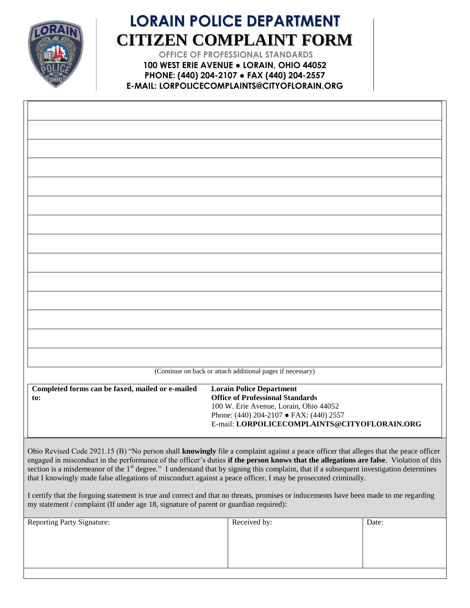

## **LORAIN POLICE DEPARTMENT CITIZEN COMPLAINT FORM**

**OFFICE OF PROFESSIONAL STANDARDS 100 WEST ERIE AVENUE ● LORAIN, OHIO 44052 PHONE: (440) 204-2107 ● FAX (440) 204-2557 E-MAIL: LORPOLICECOMPLAINTS@CITYOFLORAIN.ORG**

| (Continue on back or attach additional pages if necessary)                                                                                                                                                                                                                                                                                                                                                                                                                                                                                                                                                                                                                                                                                                                                 |                                                                                                                                                                 |                                              |  |  |
|--------------------------------------------------------------------------------------------------------------------------------------------------------------------------------------------------------------------------------------------------------------------------------------------------------------------------------------------------------------------------------------------------------------------------------------------------------------------------------------------------------------------------------------------------------------------------------------------------------------------------------------------------------------------------------------------------------------------------------------------------------------------------------------------|-----------------------------------------------------------------------------------------------------------------------------------------------------------------|----------------------------------------------|--|--|
| Completed forms can be faxed, mailed or e-mailed<br>to:                                                                                                                                                                                                                                                                                                                                                                                                                                                                                                                                                                                                                                                                                                                                    | <b>Lorain Police Department</b><br><b>Office of Professional Standards</b><br>100 W. Erie Avenue, Lorain, Ohio 44052<br>Phone: (440) 204-2107 • FAX: (440) 2557 | E-mail: LORPOLICECOMPLAINTS@CITYOFLORAIN.ORG |  |  |
| Ohio Revised Code 2921.15 (B) "No person shall knowingly file a complaint against a peace officer that alleges that the peace officer<br>engaged in misconduct in the performance of the officer's duties if the person knows that the allegations are false. Violation of this<br>section is a misdemeanor of the 1 <sup>st</sup> degree." I understand that by signing this complaint, that if a subsequent investigation determines<br>that I knowingly made false allegations of misconduct against a peace officer, I may be prosecuted criminally.<br>I certify that the forgoing statement is true and correct and that no threats, promises or inducements have been made to me regarding<br>my statement / complaint (If under age 18, signature of parent or guardian required): |                                                                                                                                                                 |                                              |  |  |
| Reporting Party Signature                                                                                                                                                                                                                                                                                                                                                                                                                                                                                                                                                                                                                                                                                                                                                                  | Req                                                                                                                                                             | $\Gamma$ ate                                 |  |  |

| <b>Reporting Party Signature:</b> | Received by: | Date: |
|-----------------------------------|--------------|-------|
|                                   |              |       |
|                                   |              |       |
|                                   |              |       |
|                                   |              |       |
|                                   |              |       |